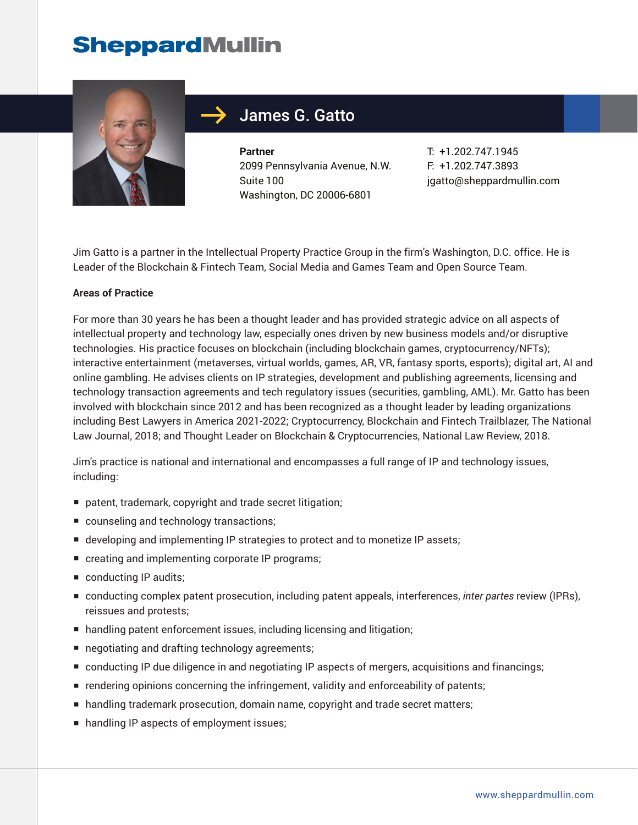

## James G. Gatto

**Partner** 2099 Pennsylvania Avenue, N.W. Suite 100 Washington, DC 20006-6801

T: +1.202.747.1945 F: +1.202.747.3893 jgatto@sheppardmullin.com

Jim Gatto is a partner in the Intellectual Property Practice Group in the firm's Washington, D.C. office. He is Leader of the Blockchain & Fintech Team, Social Media and Games Team and Open Source Team.

#### **Areas of Practice**

For more than 30 years he has been a thought leader and has provided strategic advice on all aspects of intellectual property and technology law, especially ones driven by new business models and/or disruptive technologies. His practice focuses on blockchain (including blockchain games, cryptocurrency/NFTs); interactive entertainment (metaverses, virtual worlds, games, AR, VR, fantasy sports, esports); digital art, AI and online gambling. He advises clients on IP strategies, development and publishing agreements, licensing and technology transaction agreements and tech regulatory issues (securities, gambling, AML). Mr. Gatto has been involved with blockchain since 2012 and has been recognized as a thought leader by leading organizations including Best Lawyers in America 2021-2022; Cryptocurrency, Blockchain and Fintech Trailblazer, The National Law Journal, 2018; and Thought Leader on Blockchain & Cryptocurrencies, National Law Review, 2018.

Jim's practice is national and international and encompasses a full range of IP and technology issues, including:

- patent, trademark, copyright and trade secret litigation;
- counseling and technology transactions;
- developing and implementing IP strategies to protect and to monetize IP assets;
- creating and implementing corporate IP programs;
- conducting IP audits;
- conducting complex patent prosecution, including patent appeals, interferences, *inter partes* review (IPRs), reissues and protests;
- handling patent enforcement issues, including licensing and litigation;
- negotiating and drafting technology agreements;
- conducting IP due diligence in and negotiating IP aspects of mergers, acquisitions and financings;
- rendering opinions concerning the infringement, validity and enforceability of patents;
- handling trademark prosecution, domain name, copyright and trade secret matters;
- handling IP aspects of employment issues;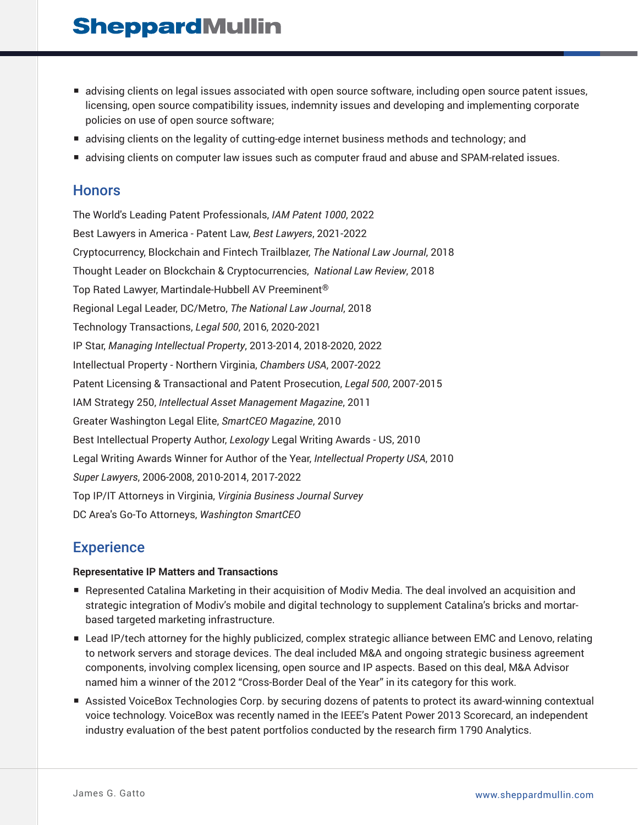- advising clients on legal issues associated with open source software, including open source patent issues, licensing, open source compatibility issues, indemnity issues and developing and implementing corporate policies on use of open source software;
- advising clients on the legality of cutting-edge internet business methods and technology; and
- advising clients on computer law issues such as computer fraud and abuse and SPAM-related issues.

### **Honors**

The World's Leading Patent Professionals, *IAM Patent 1000*, 2022 Best Lawyers in America - Patent Law, *Best Lawyers*, 2021-2022 Cryptocurrency, Blockchain and Fintech Trailblazer, *The National Law Journal*, 2018 Thought Leader on Blockchain & Cryptocurrencies, *National Law Review*, 2018 Top Rated Lawyer, Martindale-Hubbell AV Preeminent® Regional Legal Leader, DC/Metro, *The National Law Journal*, 2018 Technology Transactions, *Legal 500*, 2016, 2020-2021 IP Star, *Managing Intellectual Property*, 2013-2014, 2018-2020, 2022 Intellectual Property - Northern Virginia, *Chambers USA*, 2007-2022 Patent Licensing & Transactional and Patent Prosecution, *Legal 500*, 2007-2015 IAM Strategy 250, *Intellectual Asset Management Magazine*, 2011 Greater Washington Legal Elite, *SmartCEO Magazine*, 2010 Best Intellectual Property Author, *Lexology* Legal Writing Awards - US, 2010 Legal Writing Awards Winner for Author of the Year, *Intellectual Property USA*, 2010 *Super Lawyers*, 2006-2008, 2010-2014, 2017-2022 Top IP/IT Attorneys in Virginia, *Virginia Business Journal Survey* DC Area's Go-To Attorneys, *Washington SmartCEO*

### **Experience**

### **Representative IP Matters and Transactions**

- Represented Catalina Marketing in their acquisition of Modiv Media. The deal involved an acquisition and strategic integration of Modiv's mobile and digital technology to supplement Catalina's bricks and mortarbased targeted marketing infrastructure.
- Lead IP/tech attorney for the highly publicized, complex strategic alliance between EMC and Lenovo, relating to network servers and storage devices. The deal included M&A and ongoing strategic business agreement components, involving complex licensing, open source and IP aspects. Based on this deal, M&A Advisor named him a winner of the 2012 "Cross-Border Deal of the Year" in its category for this work.
- Assisted VoiceBox Technologies Corp. by securing dozens of patents to protect its award-winning contextual voice technology. VoiceBox was recently named in the IEEE's Patent Power 2013 Scorecard, an independent industry evaluation of the best patent portfolios conducted by the research firm 1790 Analytics.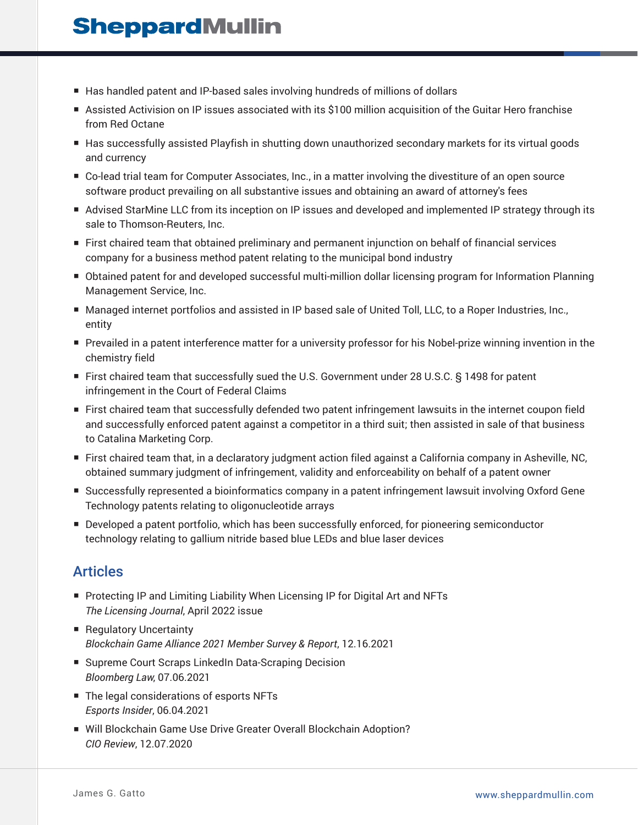- Has handled patent and IP-based sales involving hundreds of millions of dollars
- Assisted Activision on IP issues associated with its \$100 million acquisition of the Guitar Hero franchise from Red Octane
- Has successfully assisted Playfish in shutting down unauthorized secondary markets for its virtual goods and currency
- Co-lead trial team for Computer Associates, Inc., in a matter involving the divestiture of an open source software product prevailing on all substantive issues and obtaining an award of attorney's fees
- Advised StarMine LLC from its inception on IP issues and developed and implemented IP strategy through its sale to Thomson-Reuters, Inc.
- First chaired team that obtained preliminary and permanent injunction on behalf of financial services company for a business method patent relating to the municipal bond industry
- Obtained patent for and developed successful multi-million dollar licensing program for Information Planning Management Service, Inc.
- Managed internet portfolios and assisted in IP based sale of United Toll, LLC, to a Roper Industries, Inc., entity
- Prevailed in a patent interference matter for a university professor for his Nobel-prize winning invention in the chemistry field
- First chaired team that successfully sued the U.S. Government under 28 U.S.C. § 1498 for patent infringement in the Court of Federal Claims
- First chaired team that successfully defended two patent infringement lawsuits in the internet coupon field and successfully enforced patent against a competitor in a third suit; then assisted in sale of that business to Catalina Marketing Corp.
- First chaired team that, in a declaratory judgment action filed against a California company in Asheville, NC, obtained summary judgment of infringement, validity and enforceability on behalf of a patent owner
- Successfully represented a bioinformatics company in a patent infringement lawsuit involving Oxford Gene Technology patents relating to oligonucleotide arrays
- Developed a patent portfolio, which has been successfully enforced, for pioneering semiconductor technology relating to gallium nitride based blue LEDs and blue laser devices

## Articles

- Protecting IP and Limiting Liability When Licensing IP for Digital Art and NFTs *The Licensing Journal*, April 2022 issue
- Regulatory Uncertainty *Blockchain Game Alliance 2021 Member Survey & Report*, 12.16.2021
- Supreme Court Scraps LinkedIn Data-Scraping Decision *Bloomberg Law*, 07.06.2021
- The legal considerations of esports NFTs *Esports Insider*, 06.04.2021
- Will Blockchain Game Use Drive Greater Overall Blockchain Adoption? *CIO Review*, 12.07.2020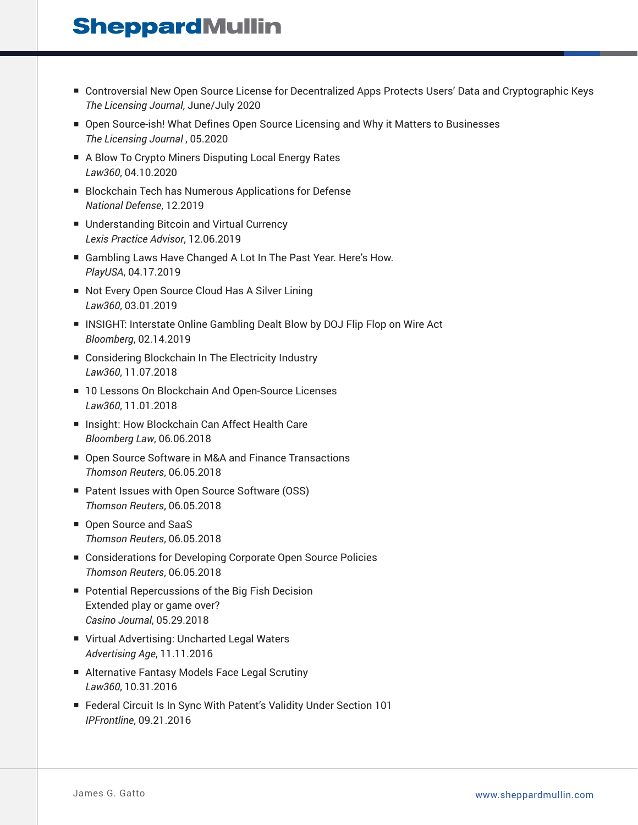- Controversial New Open Source License for Decentralized Apps Protects Users' Data and Cryptographic Keys *The Licensing Journal*, June/July 2020
- Open Source-ish! What Defines Open Source Licensing and Why it Matters to Businesses *The Licensing Journal* , 05.2020
- A Blow To Crypto Miners Disputing Local Energy Rates *Law360*, 04.10.2020
- Blockchain Tech has Numerous Applications for Defense *National Defense*, 12.2019
- Understanding Bitcoin and Virtual Currency *Lexis Practice Advisor*, 12.06.2019
- Gambling Laws Have Changed A Lot In The Past Year. Here's How. *PlayUSA*, 04.17.2019
- Not Every Open Source Cloud Has A Silver Lining *Law360*, 03.01.2019
- INSIGHT: Interstate Online Gambling Dealt Blow by DOJ Flip Flop on Wire Act *Bloomberg*, 02.14.2019
- Considering Blockchain In The Electricity Industry *Law360*, 11.07.2018
- 10 Lessons On Blockchain And Open-Source Licenses *Law360*, 11.01.2018
- Insight: How Blockchain Can Affect Health Care *Bloomberg Law*, 06.06.2018
- Open Source Software in M&A and Finance Transactions *Thomson Reuters*, 06.05.2018
- Patent Issues with Open Source Software (OSS) *Thomson Reuters*, 06.05.2018
- Open Source and SaaS *Thomson Reuters*, 06.05.2018
- Considerations for Developing Corporate Open Source Policies *Thomson Reuters*, 06.05.2018
- Potential Repercussions of the Big Fish Decision Extended play or game over? *Casino Journal*, 05.29.2018
- Virtual Advertising: Uncharted Legal Waters *Advertising Age*, 11.11.2016
- Alternative Fantasy Models Face Legal Scrutiny *Law360*, 10.31.2016
- Federal Circuit Is In Sync With Patent's Validity Under Section 101 *IPFrontline*, 09.21.2016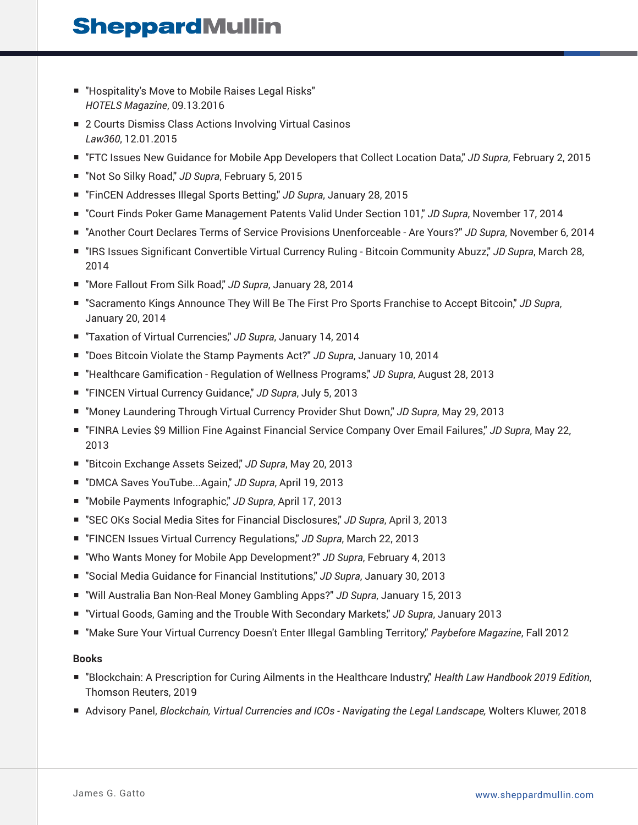- "Hospitality's Move to Mobile Raises Legal Risks" *HOTELS Magazine*, 09.13.2016
- 2 Courts Dismiss Class Actions Involving Virtual Casinos *Law360*, 12.01.2015
- "FTC Issues New Guidance for Mobile App Developers that Collect Location Data," *JD Supra*, February 2, 2015
- "Not So Silky Road," *JD Supra*, February 5, 2015
- "FinCEN Addresses Illegal Sports Betting," *JD Supra*, January 28, 2015
- "Court Finds Poker Game Management Patents Valid Under Section 101," *JD Supra*, November 17, 2014
- "Another Court Declares Terms of Service Provisions Unenforceable Are Yours?" *JD Supra*, November 6, 2014
- "IRS Issues Significant Convertible Virtual Currency Ruling Bitcoin Community Abuzz," JD Supra, March 28, 2014
- "More Fallout From Silk Road," JD Supra, January 28, 2014
- "Sacramento Kings Announce They Will Be The First Pro Sports Franchise to Accept Bitcoin," *JD Supra*, January 20, 2014
- "Taxation of Virtual Currencies," JD Supra, January 14, 2014
- "Does Bitcoin Violate the Stamp Payments Act?" JD Supra, January 10, 2014
- "Healthcare Gamification Regulation of Wellness Programs," *JD Supra*, August 28, 2013
- "FINCEN Virtual Currency Guidance," JD Supra, July 5, 2013
- "Money Laundering Through Virtual Currency Provider Shut Down," *JD Supra*, May 29, 2013
- "FINRA Levies \$9 Million Fine Against Financial Service Company Over Email Failures," *JD Supra*, May 22, 2013
- "Bitcoin Exchange Assets Seized," *JD Supra*, May 20, 2013
- "DMCA Saves YouTube...Again," *JD Supra*, April 19, 2013
- "Mobile Payments Infographic," *JD Supra*, April 17, 2013
- "SEC OKs Social Media Sites for Financial Disclosures," JD Supra, April 3, 2013
- "FINCEN Issues Virtual Currency Regulations," JD Supra, March 22, 2013
- "Who Wants Money for Mobile App Development?" *JD Supra*, February 4, 2013
- "Social Media Guidance for Financial Institutions," *JD Supra*, January 30, 2013
- "Will Australia Ban Non-Real Money Gambling Apps?" *JD Supra*, January 15, 2013
- "Virtual Goods, Gaming and the Trouble With Secondary Markets," *JD Supra*, January 2013
- "Make Sure Your Virtual Currency Doesn't Enter Illegal Gambling Territory," Paybefore Magazine, Fall 2012

### **Books**

- "Blockchain: A Prescription for Curing Ailments in the Healthcare Industry," *Health Law Handbook 2019 Edition*, Thomson Reuters, 2019
- Advisory Panel, *Blockchain, Virtual Currencies and ICOs Navigating the Legal Landscape, Wolters Kluwer, 2018*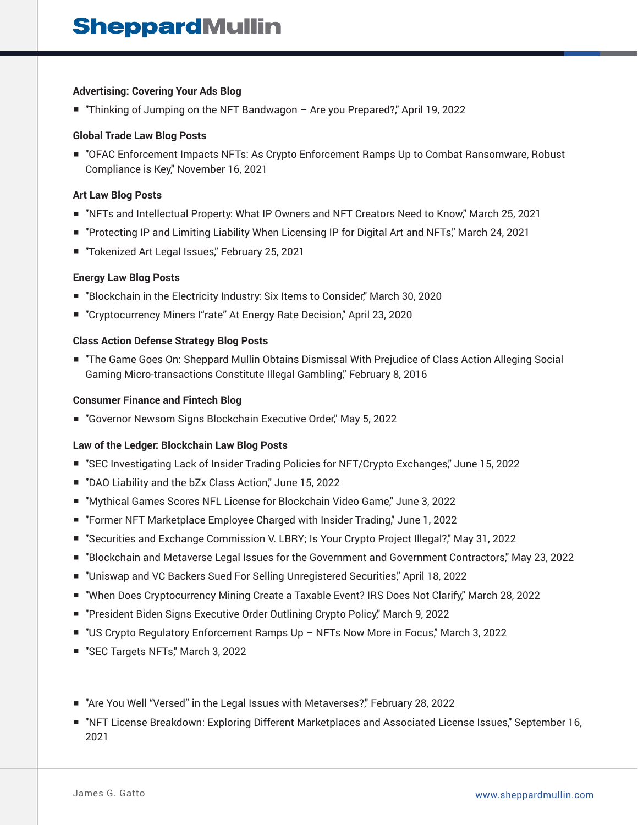#### **Advertising: Covering Your Ads Blog**

■ "Thinking of Jumping on the NFT Bandwagon – Are you Prepared?", April 19, 2022

#### **Global Trade Law Blog Posts**

■ "OFAC Enforcement Impacts NFTs: As Crypto Enforcement Ramps Up to Combat Ransomware, Robust Compliance is Key," November 16, 2021

#### **Art Law Blog Posts**

- "NFTs and Intellectual Property: What IP Owners and NFT Creators Need to Know," March 25, 2021
- "Protecting IP and Limiting Liability When Licensing IP for Digital Art and NFTs," March 24, 2021
- "Tokenized Art Legal Issues," February 25, 2021

#### **Energy Law Blog Posts**

- "Blockchain in the Electricity Industry: Six Items to Consider," March 30, 2020
- "Cryptocurrency Miners I"rate" At Energy Rate Decision," April 23, 2020

#### **Class Action Defense Strategy Blog Posts**

■ The Game Goes On: Sheppard Mullin Obtains Dismissal With Prejudice of Class Action Alleging Social Gaming Micro-transactions Constitute Illegal Gambling," February 8, 2016

#### **Consumer Finance and Fintech Blog**

■ "Governor Newsom Signs Blockchain Executive Order," May 5, 2022

#### **Law of the Ledger: Blockchain Law Blog Posts**

- "SEC Investigating Lack of Insider Trading Policies for NFT/Crypto Exchanges," June 15, 2022
- "DAO Liability and the bZx Class Action," June 15, 2022
- "Mythical Games Scores NFL License for Blockchain Video Game," June 3, 2022
- "Former NFT Marketplace Employee Charged with Insider Trading," June 1, 2022
- "Securities and Exchange Commission V. LBRY; Is Your Crypto Project Illegal?," May 31, 2022
- "Blockchain and Metaverse Legal Issues for the Government and Government Contractors," May 23, 2022
- "Uniswap and VC Backers Sued For Selling Unregistered Securities," April 18, 2022
- "When Does Cryptocurrency Mining Create a Taxable Event? IRS Does Not Clarify," March 28, 2022
- "President Biden Signs Executive Order Outlining Crypto Policy," March 9, 2022
- "US Crypto Regulatory Enforcement Ramps Up NFTs Now More in Focus," March 3, 2022
- "SEC Targets NFTs," March 3, 2022
- "Are You Well "Versed" in the Legal Issues with Metaverses?" February 28, 2022
- "NFT License Breakdown: Exploring Different Marketplaces and Associated License Issues," September 16, 2021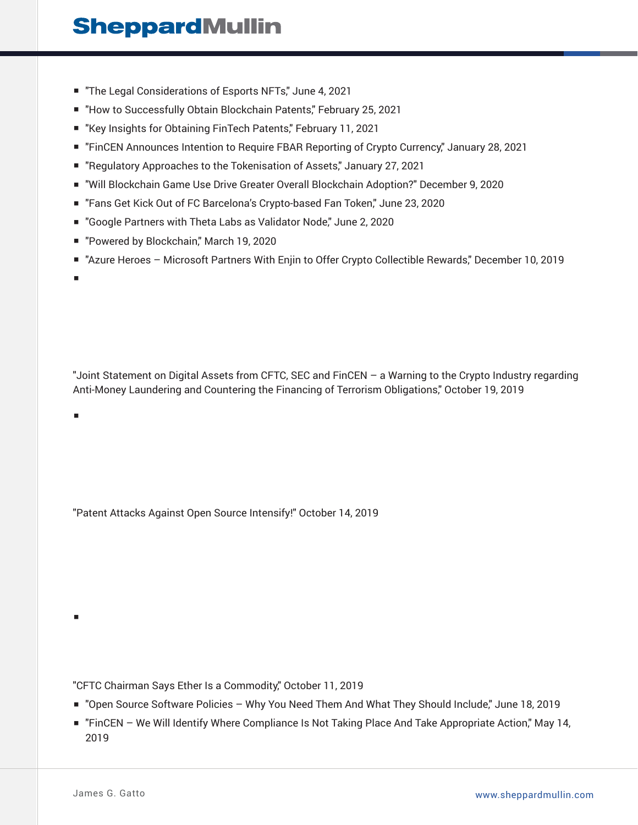- "The Legal Considerations of Esports NFTs," June 4, 2021
- "How to Successfully Obtain Blockchain Patents," February 25, 2021
- "Key Insights for Obtaining FinTech Patents," February 11, 2021
- "FinCEN Announces Intention to Require FBAR Reporting of Crypto Currency," January 28, 2021
- "Regulatory Approaches to the Tokenisation of Assets," January 27, 2021
- "Will Blockchain Game Use Drive Greater Overall Blockchain Adoption?" December 9, 2020
- "Fans Get Kick Out of FC Barcelona's Crypto-based Fan Token," June 23, 2020
- "Google Partners with Theta Labs as Validator Node," June 2, 2020
- "Powered by Blockchain," March 19, 2020
- "Azure Heroes Microsoft Partners With Enjin to Offer Crypto Collectible Rewards," December 10, 2019

■

■

■

"Joint Statement on Digital Assets from CFTC, SEC and FinCEN – a Warning to the Crypto Industry regarding Anti-Money Laundering and Countering the Financing of Terrorism Obligations," October 19, 2019

"Patent Attacks Against Open Source Intensify!" October 14, 2019

"CFTC Chairman Says Ether Is a Commodity," October 11, 2019

- "Open Source Software Policies Why You Need Them And What They Should Include," June 18, 2019
- "FinCEN We Will Identify Where Compliance Is Not Taking Place And Take Appropriate Action," May 14, 2019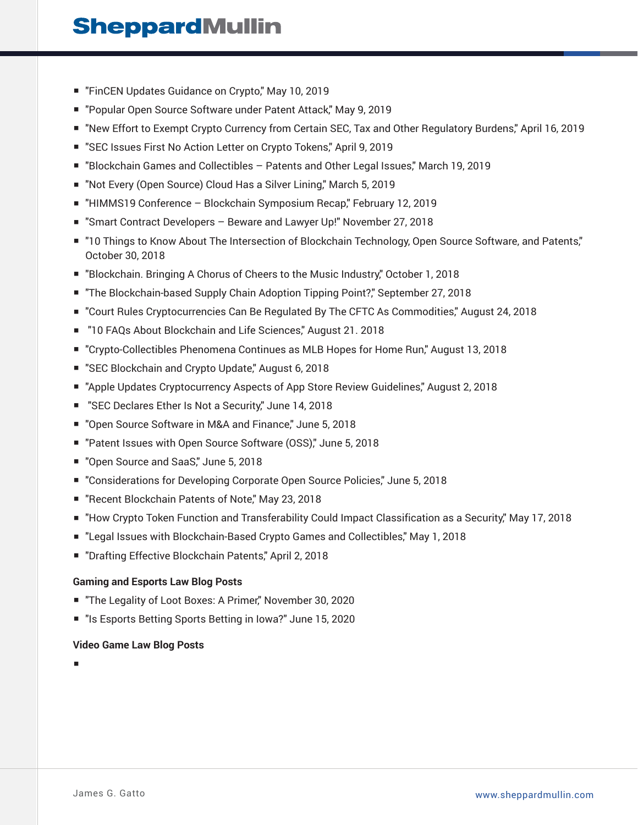- "FinCEN Updates Guidance on Crypto," May 10, 2019
- "Popular Open Source Software under Patent Attack," May 9, 2019
- "New Effort to Exempt Crypto Currency from Certain SEC, Tax and Other Regulatory Burdens," April 16, 2019
- "SEC Issues First No Action Letter on Crypto Tokens," April 9, 2019
- "Blockchain Games and Collectibles Patents and Other Legal Issues," March 19, 2019
- "Not Every (Open Source) Cloud Has a Silver Lining," March 5, 2019
- "HIMMS19 Conference Blockchain Symposium Recap," February 12, 2019
- "Smart Contract Developers Beware and Lawyer Up!" November 27, 2018
- "10 Things to Know About The Intersection of Blockchain Technology, Open Source Software, and Patents," October 30, 2018
- "Blockchain. Bringing A Chorus of Cheers to the Music Industry," October 1, 2018
- "The Blockchain-based Supply Chain Adoption Tipping Point?," September 27, 2018
- "Court Rules Cryptocurrencies Can Be Regulated By The CFTC As Commodities," August 24, 2018
- "10 FAQs About Blockchain and Life Sciences," August 21. 2018
- "Crypto-Collectibles Phenomena Continues as MLB Hopes for Home Run," August 13, 2018
- "SEC Blockchain and Crypto Update," August 6, 2018
- "Apple Updates Cryptocurrency Aspects of App Store Review Guidelines," August 2, 2018
- "SEC Declares Ether Is Not a Security," June 14, 2018
- "Open Source Software in M&A and Finance," June 5, 2018
- "Patent Issues with Open Source Software (OSS)," June 5, 2018
- "Open Source and SaaS," June 5, 2018
- "Considerations for Developing Corporate Open Source Policies," June 5, 2018
- "Recent Blockchain Patents of Note," May 23, 2018
- "How Crypto Token Function and Transferability Could Impact Classification as a Security," May 17, 2018
- "Legal Issues with Blockchain-Based Crypto Games and Collectibles," May 1, 2018
- "Drafting Effective Blockchain Patents," April 2, 2018

#### **Gaming and Esports Law Blog Posts**

- "The Legality of Loot Boxes: A Primer," November 30, 2020
- "Is Esports Betting Sports Betting in Iowa?" June 15, 2020

#### **Video Game Law Blog Posts**

■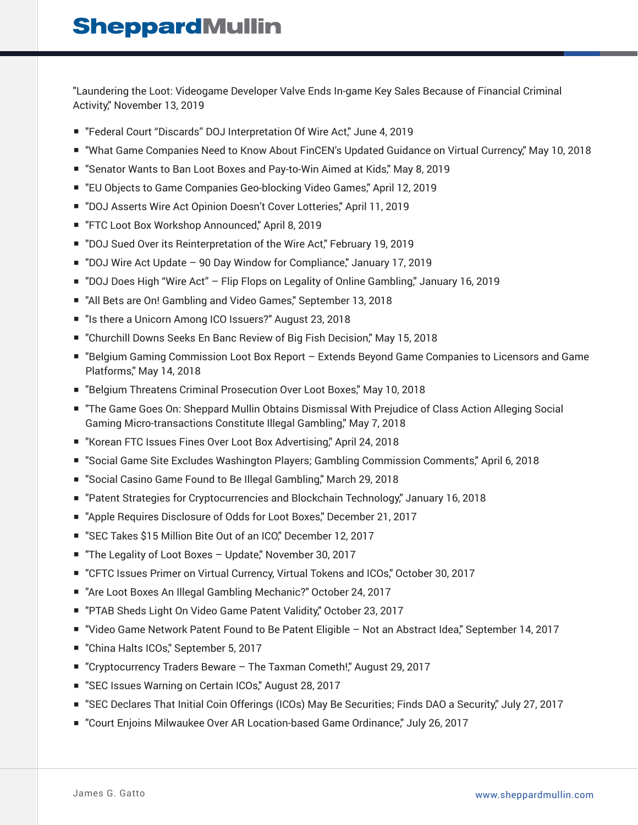"Laundering the Loot: Videogame Developer Valve Ends In-game Key Sales Because of Financial Criminal Activity," November 13, 2019

- "Federal Court "Discards" DOJ Interpretation Of Wire Act," June 4, 2019
- "What Game Companies Need to Know About FinCEN's Updated Guidance on Virtual Currency," May 10, 2018
- "Senator Wants to Ban Loot Boxes and Pay-to-Win Aimed at Kids," May 8, 2019
- "EU Objects to Game Companies Geo-blocking Video Games," April 12, 2019
- "DOJ Asserts Wire Act Opinion Doesn't Cover Lotteries," April 11, 2019
- "FTC Loot Box Workshop Announced," April 8, 2019
- "DOJ Sued Over its Reinterpretation of the Wire Act," February 19, 2019
- "DOJ Wire Act Update 90 Day Window for Compliance," January 17, 2019
- "DOJ Does High "Wire Act" Flip Flops on Legality of Online Gambling," January 16, 2019
- "All Bets are On! Gambling and Video Games," September 13, 2018
- "Is there a Unicorn Among ICO Issuers?" August 23, 2018
- "Churchill Downs Seeks En Banc Review of Big Fish Decision," May 15, 2018
- "Belgium Gaming Commission Loot Box Report Extends Beyond Game Companies to Licensors and Game Platforms," May 14, 2018
- "Belgium Threatens Criminal Prosecution Over Loot Boxes," May 10, 2018
- "The Game Goes On: Sheppard Mullin Obtains Dismissal With Prejudice of Class Action Alleging Social Gaming Micro-transactions Constitute Illegal Gambling," May 7, 2018
- "Korean FTC Issues Fines Over Loot Box Advertising," April 24, 2018
- "Social Game Site Excludes Washington Players; Gambling Commission Comments," April 6, 2018
- "Social Casino Game Found to Be Illegal Gambling," March 29, 2018
- "Patent Strategies for Cryptocurrencies and Blockchain Technology," January 16, 2018
- "Apple Requires Disclosure of Odds for Loot Boxes," December 21, 2017
- "SEC Takes \$15 Million Bite Out of an ICO," December 12, 2017
- "The Legality of Loot Boxes Update," November 30, 2017
- "CFTC Issues Primer on Virtual Currency, Virtual Tokens and ICOs," October 30, 2017
- "Are Loot Boxes An Illegal Gambling Mechanic?" October 24, 2017
- "PTAB Sheds Light On Video Game Patent Validity," October 23, 2017
- "Video Game Network Patent Found to Be Patent Eligible Not an Abstract Idea," September 14, 2017
- "China Halts ICOs," September 5, 2017
- "Cryptocurrency Traders Beware The Taxman Cometh!", August 29, 2017
- "SEC Issues Warning on Certain ICOs," August 28, 2017
- "SEC Declares That Initial Coin Offerings (ICOs) May Be Securities; Finds DAO a Security," July 27, 2017
- "Court Enjoins Milwaukee Over AR Location-based Game Ordinance," July 26, 2017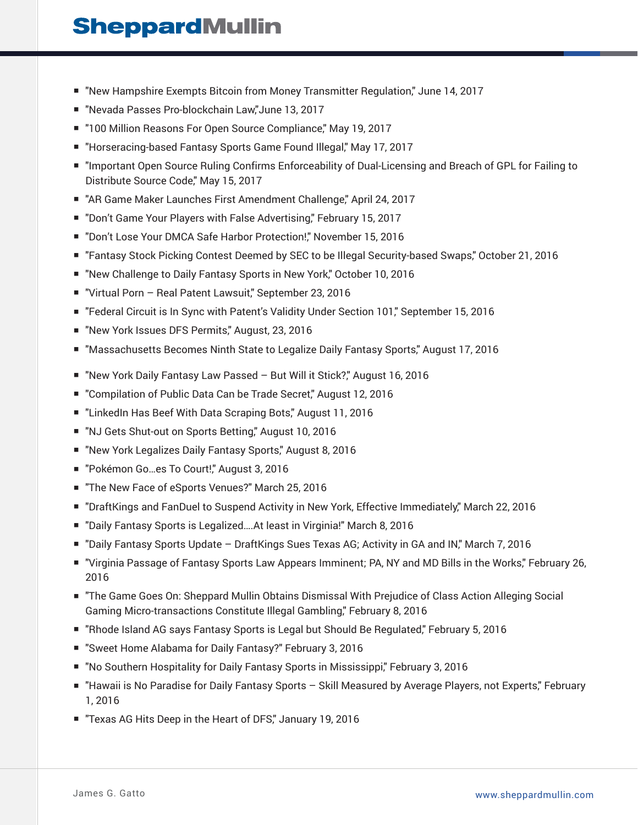- "New Hampshire Exempts Bitcoin from Money Transmitter Regulation," June 14, 2017
- "Nevada Passes Pro-blockchain Law,"June 13, 2017
- "100 Million Reasons For Open Source Compliance," May 19, 2017
- "Horseracing-based Fantasy Sports Game Found Illegal," May 17, 2017
- "Important Open Source Ruling Confirms Enforceability of Dual-Licensing and Breach of GPL for Failing to Distribute Source Code," May 15, 2017
- "AR Game Maker Launches First Amendment Challenge," April 24, 2017
- "Don't Game Your Players with False Advertising," February 15, 2017
- "Don't Lose Your DMCA Safe Harbor Protection!," November 15, 2016
- "Fantasy Stock Picking Contest Deemed by SEC to be Illegal Security-based Swaps," October 21, 2016
- "New Challenge to Daily Fantasy Sports in New York," October 10, 2016
- "Virtual Porn Real Patent Lawsuit," September 23, 2016
- "Federal Circuit is In Sync with Patent's Validity Under Section 101," September 15, 2016
- "New York Issues DFS Permits," August, 23, 2016
- "Massachusetts Becomes Ninth State to Legalize Daily Fantasy Sports," August 17, 2016
- "New York Daily Fantasy Law Passed But Will it Stick?" August 16, 2016
- "Compilation of Public Data Can be Trade Secret," August 12, 2016
- "LinkedIn Has Beef With Data Scraping Bots," August 11, 2016
- "NJ Gets Shut-out on Sports Betting," August 10, 2016
- "New York Legalizes Daily Fantasy Sports," August 8, 2016
- "Pokémon Go...es To Court!," August 3, 2016
- "The New Face of eSports Venues?" March 25, 2016
- "DraftKings and FanDuel to Suspend Activity in New York, Effective Immediately," March 22, 2016
- "Daily Fantasy Sports is Legalized....At least in Virginia!" March 8, 2016
- "Daily Fantasy Sports Update DraftKings Sues Texas AG; Activity in GA and IN," March 7, 2016
- "Virginia Passage of Fantasy Sports Law Appears Imminent; PA, NY and MD Bills in the Works," February 26, 2016
- "The Game Goes On: Sheppard Mullin Obtains Dismissal With Prejudice of Class Action Alleging Social Gaming Micro-transactions Constitute Illegal Gambling," February 8, 2016
- "Rhode Island AG says Fantasy Sports is Legal but Should Be Regulated," February 5, 2016
- "Sweet Home Alabama for Daily Fantasy?" February 3, 2016
- "No Southern Hospitality for Daily Fantasy Sports in Mississippi," February 3, 2016
- "Hawaii is No Paradise for Daily Fantasy Sports Skill Measured by Average Players, not Experts," February 1, 2016
- "Texas AG Hits Deep in the Heart of DFS," January 19, 2016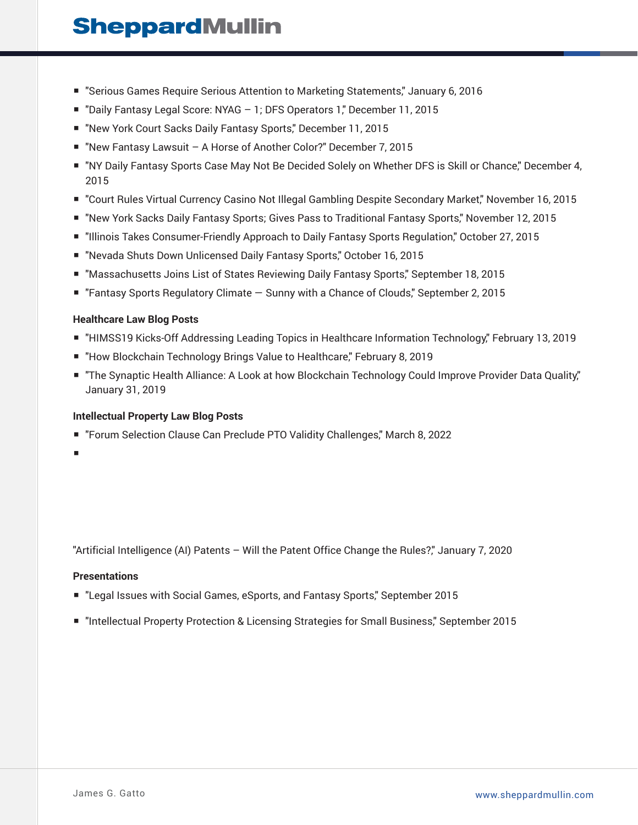- "Serious Games Require Serious Attention to Marketing Statements," January 6, 2016
- "Daily Fantasy Legal Score: NYAG 1; DFS Operators 1," December 11, 2015
- "New York Court Sacks Daily Fantasy Sports," December 11, 2015
- "New Fantasy Lawsuit A Horse of Another Color?" December 7, 2015
- "NY Daily Fantasy Sports Case May Not Be Decided Solely on Whether DFS is Skill or Chance," December 4, 2015
- "Court Rules Virtual Currency Casino Not Illegal Gambling Despite Secondary Market," November 16, 2015
- "New York Sacks Daily Fantasy Sports; Gives Pass to Traditional Fantasy Sports," November 12, 2015
- "Illinois Takes Consumer-Friendly Approach to Daily Fantasy Sports Regulation," October 27, 2015
- "Nevada Shuts Down Unlicensed Daily Fantasy Sports," October 16, 2015
- "Massachusetts Joins List of States Reviewing Daily Fantasy Sports," September 18, 2015
- "Fantasy Sports Regulatory Climate Sunny with a Chance of Clouds," September 2, 2015

### **Healthcare Law Blog Posts**

- "HIMSS19 Kicks-Off Addressing Leading Topics in Healthcare Information Technology," February 13, 2019
- "How Blockchain Technology Brings Value to Healthcare," February 8, 2019
- "The Synaptic Health Alliance: A Look at how Blockchain Technology Could Improve Provider Data Quality," January 31, 2019

#### **Intellectual Property Law Blog Posts**

- "Forum Selection Clause Can Preclude PTO Validity Challenges," March 8, 2022
- ■

"Artificial Intelligence (AI) Patents – Will the Patent Office Change the Rules?," January 7, 2020

#### **Presentations**

- "Legal Issues with Social Games, eSports, and Fantasy Sports," September 2015
- "Intellectual Property Protection & Licensing Strategies for Small Business," September 2015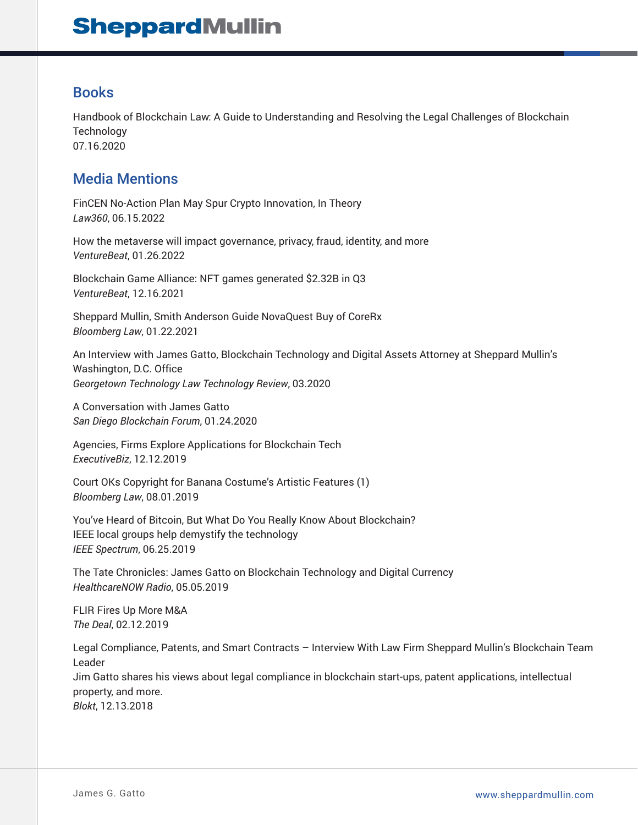### Books

Handbook of Blockchain Law: A Guide to Understanding and Resolving the Legal Challenges of Blockchain **Technology** 07.16.2020

### Media Mentions

FinCEN No-Action Plan May Spur Crypto Innovation, In Theory *Law360*, 06.15.2022

How the metaverse will impact governance, privacy, fraud, identity, and more *VentureBeat*, 01.26.2022

Blockchain Game Alliance: NFT games generated \$2.32B in Q3 *VentureBeat*, 12.16.2021

Sheppard Mullin, Smith Anderson Guide NovaQuest Buy of CoreRx *Bloomberg Law*, 01.22.2021

An Interview with James Gatto, Blockchain Technology and Digital Assets Attorney at Sheppard Mullin's Washington, D.C. Office *Georgetown Technology Law Technology Review*, 03.2020

A Conversation with James Gatto *San Diego Blockchain Forum*, 01.24.2020

Agencies, Firms Explore Applications for Blockchain Tech *ExecutiveBiz*, 12.12.2019

Court OKs Copyright for Banana Costume's Artistic Features (1) *Bloomberg Law*, 08.01.2019

You've Heard of Bitcoin, But What Do You Really Know About Blockchain? IEEE local groups help demystify the technology *IEEE Spectrum*, 06.25.2019

The Tate Chronicles: James Gatto on Blockchain Technology and Digital Currency *HealthcareNOW Radio*, 05.05.2019

FLIR Fires Up More M&A *The Deal*, 02.12.2019

Legal Compliance, Patents, and Smart Contracts – Interview With Law Firm Sheppard Mullin's Blockchain Team Leader Jim Gatto shares his views about legal compliance in blockchain start-ups, patent applications, intellectual property, and more. *Blokt*, 12.13.2018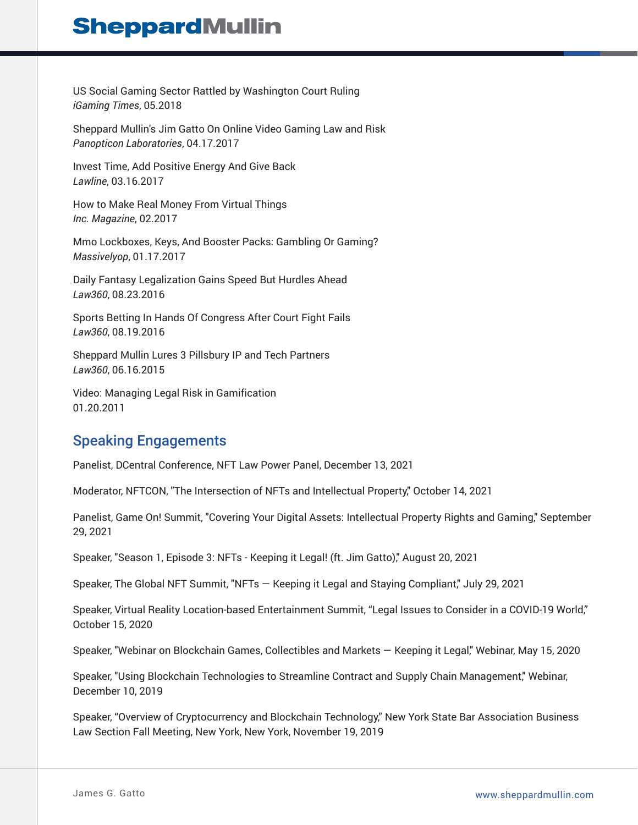US Social Gaming Sector Rattled by Washington Court Ruling *iGaming Times*, 05.2018

Sheppard Mullin's Jim Gatto On Online Video Gaming Law and Risk *Panopticon Laboratories*, 04.17.2017

Invest Time, Add Positive Energy And Give Back *Lawline*, 03.16.2017

How to Make Real Money From Virtual Things *Inc. Magazine*, 02.2017

Mmo Lockboxes, Keys, And Booster Packs: Gambling Or Gaming? *Massivelyop*, 01.17.2017

Daily Fantasy Legalization Gains Speed But Hurdles Ahead *Law360*, 08.23.2016

Sports Betting In Hands Of Congress After Court Fight Fails *Law360*, 08.19.2016

Sheppard Mullin Lures 3 Pillsbury IP and Tech Partners *Law360*, 06.16.2015

Video: Managing Legal Risk in Gamification 01.20.2011

### Speaking Engagements

Panelist, DCentral Conference, NFT Law Power Panel, December 13, 2021

Moderator, NFTCON, "The Intersection of NFTs and Intellectual Property," October 14, 2021

Panelist, Game On! Summit, "Covering Your Digital Assets: Intellectual Property Rights and Gaming," September 29, 2021

Speaker, "Season 1, Episode 3: NFTs - Keeping it Legal! (ft. Jim Gatto)," August 20, 2021

Speaker, The Global NFT Summit, "NFTs — Keeping it Legal and Staying Compliant," July 29, 2021

Speaker, Virtual Reality Location-based Entertainment Summit, "Legal Issues to Consider in a COVID-19 World," October 15, 2020

Speaker, "Webinar on Blockchain Games, Collectibles and Markets — Keeping it Legal," Webinar, May 15, 2020

Speaker, "Using Blockchain Technologies to Streamline Contract and Supply Chain Management," Webinar, December 10, 2019

Speaker, "Overview of Cryptocurrency and Blockchain Technology," New York State Bar Association Business Law Section Fall Meeting, New York, New York, November 19, 2019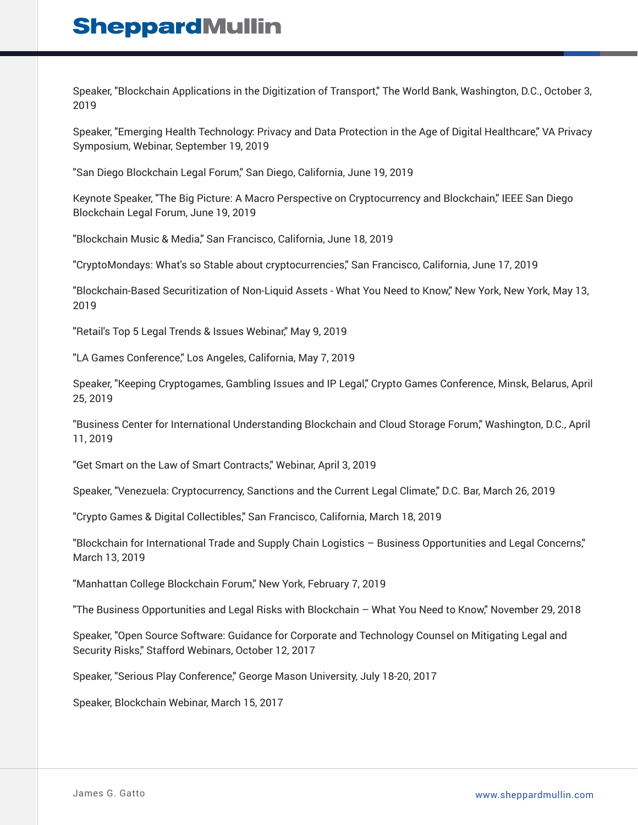Speaker, "Blockchain Applications in the Digitization of Transport," The World Bank, Washington, D.C., October 3, 2019

Speaker, "Emerging Health Technology: Privacy and Data Protection in the Age of Digital Healthcare," VA Privacy Symposium, Webinar, September 19, 2019

"San Diego Blockchain Legal Forum," San Diego, California, June 19, 2019

Keynote Speaker, "The Big Picture: A Macro Perspective on Cryptocurrency and Blockchain," IEEE San Diego Blockchain Legal Forum, June 19, 2019

"Blockchain Music & Media," San Francisco, California, June 18, 2019

"CryptoMondays: What's so Stable about cryptocurrencies," San Francisco, California, June 17, 2019

"Blockchain-Based Securitization of Non-Liquid Assets - What You Need to Know," New York, New York, May 13, 2019

"Retail's Top 5 Legal Trends & Issues Webinar," May 9, 2019

"LA Games Conference," Los Angeles, California, May 7, 2019

Speaker, "Keeping Cryptogames, Gambling Issues and IP Legal," Crypto Games Conference, Minsk, Belarus, April 25, 2019

"Business Center for International Understanding Blockchain and Cloud Storage Forum," Washington, D.C., April 11, 2019

"Get Smart on the Law of Smart Contracts," Webinar, April 3, 2019

Speaker, "Venezuela: Cryptocurrency, Sanctions and the Current Legal Climate," D.C. Bar, March 26, 2019

"Crypto Games & Digital Collectibles," San Francisco, California, March 18, 2019

"Blockchain for International Trade and Supply Chain Logistics – Business Opportunities and Legal Concerns," March 13, 2019

"Manhattan College Blockchain Forum," New York, February 7, 2019

"The Business Opportunities and Legal Risks with Blockchain – What You Need to Know," November 29, 2018

Speaker, "Open Source Software: Guidance for Corporate and Technology Counsel on Mitigating Legal and Security Risks," Stafford Webinars, October 12, 2017

Speaker, "Serious Play Conference," George Mason University, July 18-20, 2017

Speaker, Blockchain Webinar, March 15, 2017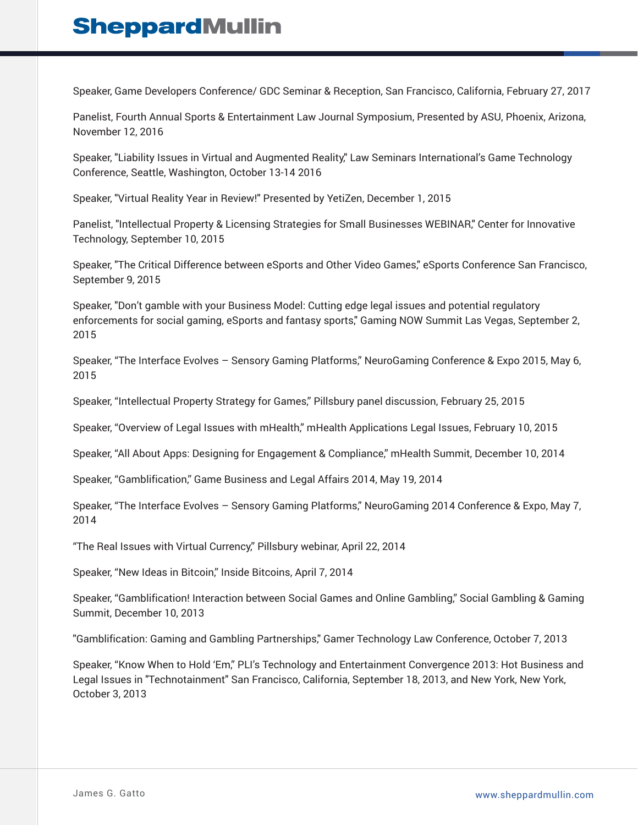Speaker, Game Developers Conference/ GDC Seminar & Reception, San Francisco, California, February 27, 2017

Panelist, Fourth Annual Sports & Entertainment Law Journal Symposium, Presented by ASU, Phoenix, Arizona, November 12, 2016

Speaker, "Liability Issues in Virtual and Augmented Reality," Law Seminars International's Game Technology Conference, Seattle, Washington, October 13-14 2016

Speaker, "Virtual Reality Year in Review!" Presented by YetiZen, December 1, 2015

Panelist, "Intellectual Property & Licensing Strategies for Small Businesses WEBINAR," Center for Innovative Technology, September 10, 2015

Speaker, "The Critical Difference between eSports and Other Video Games," eSports Conference San Francisco, September 9, 2015

Speaker, "Don't gamble with your Business Model: Cutting edge legal issues and potential regulatory enforcements for social gaming, eSports and fantasy sports," Gaming NOW Summit Las Vegas, September 2, 2015

Speaker, "The Interface Evolves – Sensory Gaming Platforms," NeuroGaming Conference & Expo 2015, May 6, 2015

Speaker, "Intellectual Property Strategy for Games," Pillsbury panel discussion, February 25, 2015

Speaker, "Overview of Legal Issues with mHealth," mHealth Applications Legal Issues, February 10, 2015

Speaker, "All About Apps: Designing for Engagement & Compliance," mHealth Summit, December 10, 2014

Speaker, "Gamblification," Game Business and Legal Affairs 2014, May 19, 2014

Speaker, "The Interface Evolves – Sensory Gaming Platforms," NeuroGaming 2014 Conference & Expo, May 7, 2014

"The Real Issues with Virtual Currency," Pillsbury webinar, April 22, 2014

Speaker, "New Ideas in Bitcoin," Inside Bitcoins, April 7, 2014

Speaker, "Gamblification! Interaction between Social Games and Online Gambling," Social Gambling & Gaming Summit, December 10, 2013

"Gamblification: Gaming and Gambling Partnerships," Gamer Technology Law Conference, October 7, 2013

Speaker, "Know When to Hold 'Em," PLI's Technology and Entertainment Convergence 2013: Hot Business and Legal Issues in "Technotainment" San Francisco, California, September 18, 2013, and New York, New York, October 3, 2013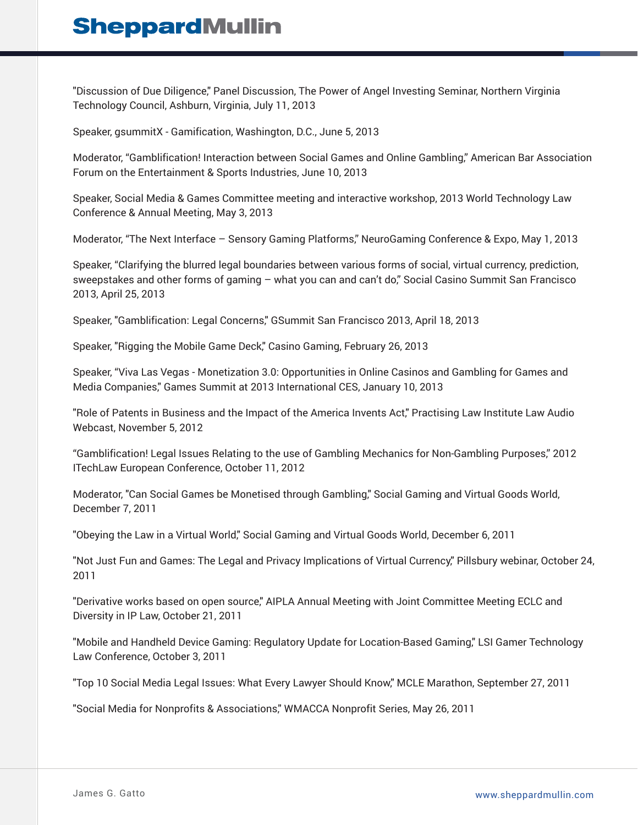"Discussion of Due Diligence," Panel Discussion, The Power of Angel Investing Seminar, Northern Virginia Technology Council, Ashburn, Virginia, July 11, 2013

Speaker, gsummitX - Gamification, Washington, D.C., June 5, 2013

Moderator, "Gamblification! Interaction between Social Games and Online Gambling," American Bar Association Forum on the Entertainment & Sports Industries, June 10, 2013

Speaker, Social Media & Games Committee meeting and interactive workshop, 2013 World Technology Law Conference & Annual Meeting, May 3, 2013

Moderator, "The Next Interface – Sensory Gaming Platforms," NeuroGaming Conference & Expo, May 1, 2013

Speaker, "Clarifying the blurred legal boundaries between various forms of social, virtual currency, prediction, sweepstakes and other forms of gaming – what you can and can't do," Social Casino Summit San Francisco 2013, April 25, 2013

Speaker, "Gamblification: Legal Concerns," GSummit San Francisco 2013, April 18, 2013

Speaker, "Rigging the Mobile Game Deck," Casino Gaming, February 26, 2013

Speaker, "Viva Las Vegas - Monetization 3.0: Opportunities in Online Casinos and Gambling for Games and Media Companies," Games Summit at 2013 International CES, January 10, 2013

"Role of Patents in Business and the Impact of the America Invents Act," Practising Law Institute Law Audio Webcast, November 5, 2012

"Gamblification! Legal Issues Relating to the use of Gambling Mechanics for Non-Gambling Purposes," 2012 ITechLaw European Conference, October 11, 2012

Moderator, "Can Social Games be Monetised through Gambling," Social Gaming and Virtual Goods World, December 7, 2011

"Obeying the Law in a Virtual World," Social Gaming and Virtual Goods World, December 6, 2011

"Not Just Fun and Games: The Legal and Privacy Implications of Virtual Currency," Pillsbury webinar, October 24, 2011

"Derivative works based on open source," AIPLA Annual Meeting with Joint Committee Meeting ECLC and Diversity in IP Law, October 21, 2011

"Mobile and Handheld Device Gaming: Regulatory Update for Location-Based Gaming," LSI Gamer Technology Law Conference, October 3, 2011

"Top 10 Social Media Legal Issues: What Every Lawyer Should Know," MCLE Marathon, September 27, 2011

"Social Media for Nonprofits & Associations," WMACCA Nonprofit Series, May 26, 2011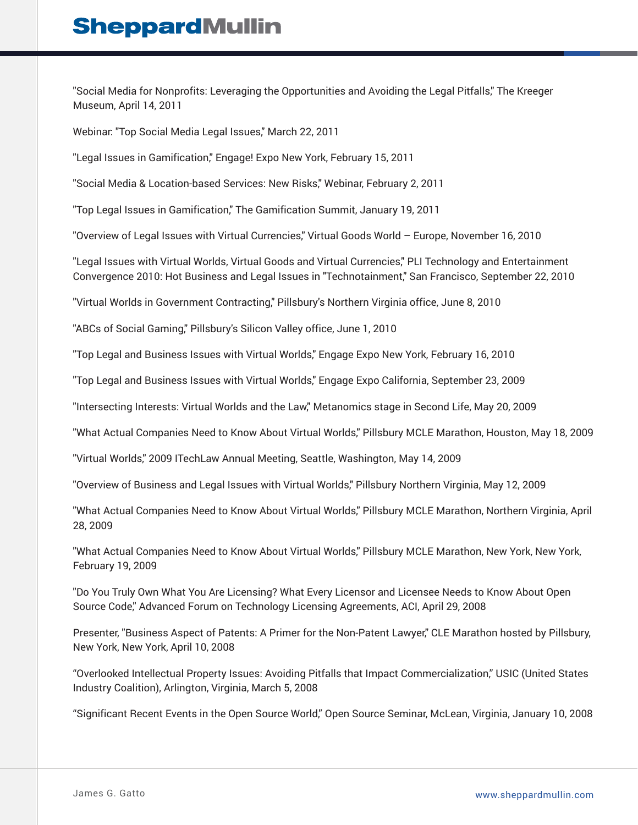"Social Media for Nonprofits: Leveraging the Opportunities and Avoiding the Legal Pitfalls," The Kreeger Museum, April 14, 2011

Webinar: "Top Social Media Legal Issues," March 22, 2011

"Legal Issues in Gamification," Engage! Expo New York, February 15, 2011

"Social Media & Location-based Services: New Risks," Webinar, February 2, 2011

"Top Legal Issues in Gamification," The Gamification Summit, January 19, 2011

"Overview of Legal Issues with Virtual Currencies," Virtual Goods World – Europe, November 16, 2010

"Legal Issues with Virtual Worlds, Virtual Goods and Virtual Currencies," PLI Technology and Entertainment Convergence 2010: Hot Business and Legal Issues in "Technotainment," San Francisco, September 22, 2010

"Virtual Worlds in Government Contracting," Pillsbury's Northern Virginia office, June 8, 2010

"ABCs of Social Gaming," Pillsbury's Silicon Valley office, June 1, 2010

"Top Legal and Business Issues with Virtual Worlds," Engage Expo New York, February 16, 2010

"Top Legal and Business Issues with Virtual Worlds," Engage Expo California, September 23, 2009

"Intersecting Interests: Virtual Worlds and the Law," Metanomics stage in Second Life, May 20, 2009

"What Actual Companies Need to Know About Virtual Worlds," Pillsbury MCLE Marathon, Houston, May 18, 2009

"Virtual Worlds," 2009 ITechLaw Annual Meeting, Seattle, Washington, May 14, 2009

"Overview of Business and Legal Issues with Virtual Worlds," Pillsbury Northern Virginia, May 12, 2009

"What Actual Companies Need to Know About Virtual Worlds," Pillsbury MCLE Marathon, Northern Virginia, April 28, 2009

"What Actual Companies Need to Know About Virtual Worlds," Pillsbury MCLE Marathon, New York, New York, February 19, 2009

"Do You Truly Own What You Are Licensing? What Every Licensor and Licensee Needs to Know About Open Source Code," Advanced Forum on Technology Licensing Agreements, ACI, April 29, 2008

Presenter, "Business Aspect of Patents: A Primer for the Non-Patent Lawyer," CLE Marathon hosted by Pillsbury, New York, New York, April 10, 2008

"Overlooked Intellectual Property Issues: Avoiding Pitfalls that Impact Commercialization," USIC (United States Industry Coalition), Arlington, Virginia, March 5, 2008

"Significant Recent Events in the Open Source World," Open Source Seminar, McLean, Virginia, January 10, 2008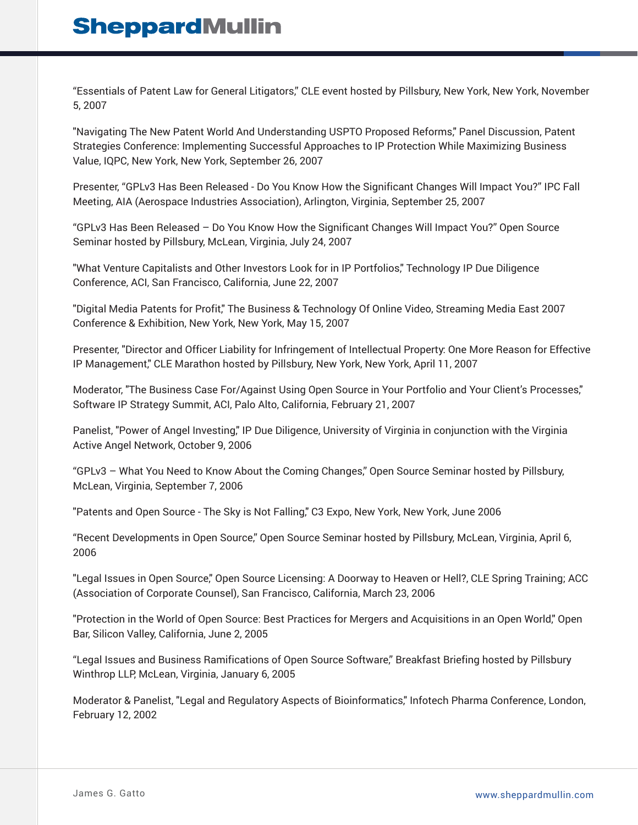"Essentials of Patent Law for General Litigators," CLE event hosted by Pillsbury, New York, New York, November 5, 2007

"Navigating The New Patent World And Understanding USPTO Proposed Reforms," Panel Discussion, Patent Strategies Conference: Implementing Successful Approaches to IP Protection While Maximizing Business Value, IQPC, New York, New York, September 26, 2007

Presenter, "GPLv3 Has Been Released - Do You Know How the Significant Changes Will Impact You?" IPC Fall Meeting, AIA (Aerospace Industries Association), Arlington, Virginia, September 25, 2007

"GPLv3 Has Been Released – Do You Know How the Significant Changes Will Impact You?" Open Source Seminar hosted by Pillsbury, McLean, Virginia, July 24, 2007

"What Venture Capitalists and Other Investors Look for in IP Portfolios," Technology IP Due Diligence Conference, ACI, San Francisco, California, June 22, 2007

"Digital Media Patents for Profit," The Business & Technology Of Online Video, Streaming Media East 2007 Conference & Exhibition, New York, New York, May 15, 2007

Presenter, "Director and Officer Liability for Infringement of Intellectual Property: One More Reason for Effective IP Management," CLE Marathon hosted by Pillsbury, New York, New York, April 11, 2007

Moderator, "The Business Case For/Against Using Open Source in Your Portfolio and Your Client's Processes," Software IP Strategy Summit, ACI, Palo Alto, California, February 21, 2007

Panelist, "Power of Angel Investing," IP Due Diligence, University of Virginia in conjunction with the Virginia Active Angel Network, October 9, 2006

"GPLv3 – What You Need to Know About the Coming Changes," Open Source Seminar hosted by Pillsbury, McLean, Virginia, September 7, 2006

"Patents and Open Source - The Sky is Not Falling," C3 Expo, New York, New York, June 2006

"Recent Developments in Open Source," Open Source Seminar hosted by Pillsbury, McLean, Virginia, April 6, 2006

"Legal Issues in Open Source," Open Source Licensing: A Doorway to Heaven or Hell?, CLE Spring Training; ACC (Association of Corporate Counsel), San Francisco, California, March 23, 2006

"Protection in the World of Open Source: Best Practices for Mergers and Acquisitions in an Open World," Open Bar, Silicon Valley, California, June 2, 2005

"Legal Issues and Business Ramifications of Open Source Software," Breakfast Briefing hosted by Pillsbury Winthrop LLP, McLean, Virginia, January 6, 2005

Moderator & Panelist, "Legal and Regulatory Aspects of Bioinformatics," Infotech Pharma Conference, London, February 12, 2002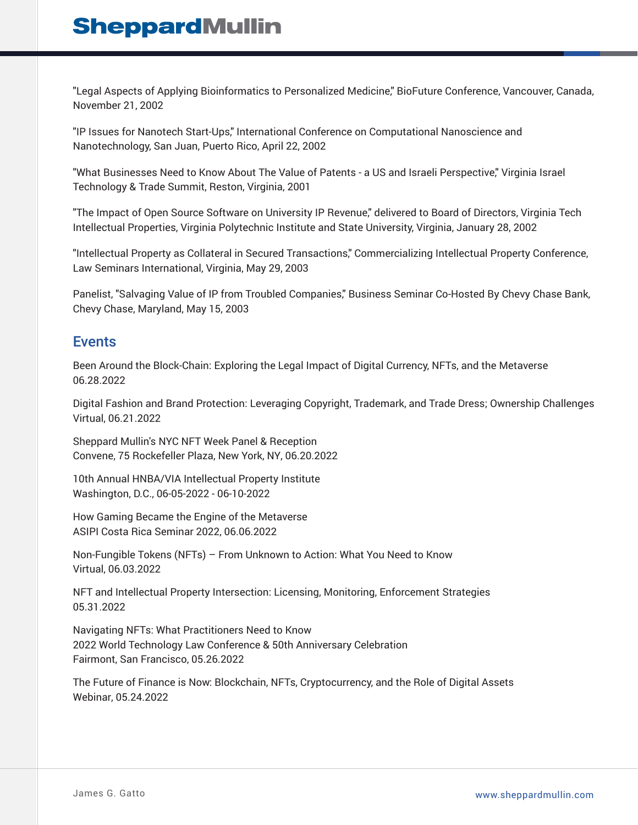"Legal Aspects of Applying Bioinformatics to Personalized Medicine," BioFuture Conference, Vancouver, Canada, November 21, 2002

"IP Issues for Nanotech Start-Ups," International Conference on Computational Nanoscience and Nanotechnology, San Juan, Puerto Rico, April 22, 2002

"What Businesses Need to Know About The Value of Patents - a US and Israeli Perspective," Virginia Israel Technology & Trade Summit, Reston, Virginia, 2001

"The Impact of Open Source Software on University IP Revenue," delivered to Board of Directors, Virginia Tech Intellectual Properties, Virginia Polytechnic Institute and State University, Virginia, January 28, 2002

"Intellectual Property as Collateral in Secured Transactions," Commercializing Intellectual Property Conference, Law Seminars International, Virginia, May 29, 2003

Panelist, "Salvaging Value of IP from Troubled Companies," Business Seminar Co-Hosted By Chevy Chase Bank, Chevy Chase, Maryland, May 15, 2003

### Events

Been Around the Block-Chain: Exploring the Legal Impact of Digital Currency, NFTs, and the Metaverse 06.28.2022

Digital Fashion and Brand Protection: Leveraging Copyright, Trademark, and Trade Dress; Ownership Challenges Virtual, 06.21.2022

Sheppard Mullin's NYC NFT Week Panel & Reception Convene, 75 Rockefeller Plaza, New York, NY, 06.20.2022

10th Annual HNBA/VIA Intellectual Property Institute Washington, D.C., 06-05-2022 - 06-10-2022

How Gaming Became the Engine of the Metaverse ASIPI Costa Rica Seminar 2022, 06.06.2022

Non-Fungible Tokens (NFTs) – From Unknown to Action: What You Need to Know Virtual, 06.03.2022

NFT and Intellectual Property Intersection: Licensing, Monitoring, Enforcement Strategies 05.31.2022

Navigating NFTs: What Practitioners Need to Know 2022 World Technology Law Conference & 50th Anniversary Celebration Fairmont, San Francisco, 05.26.2022

The Future of Finance is Now: Blockchain, NFTs, Cryptocurrency, and the Role of Digital Assets Webinar, 05.24.2022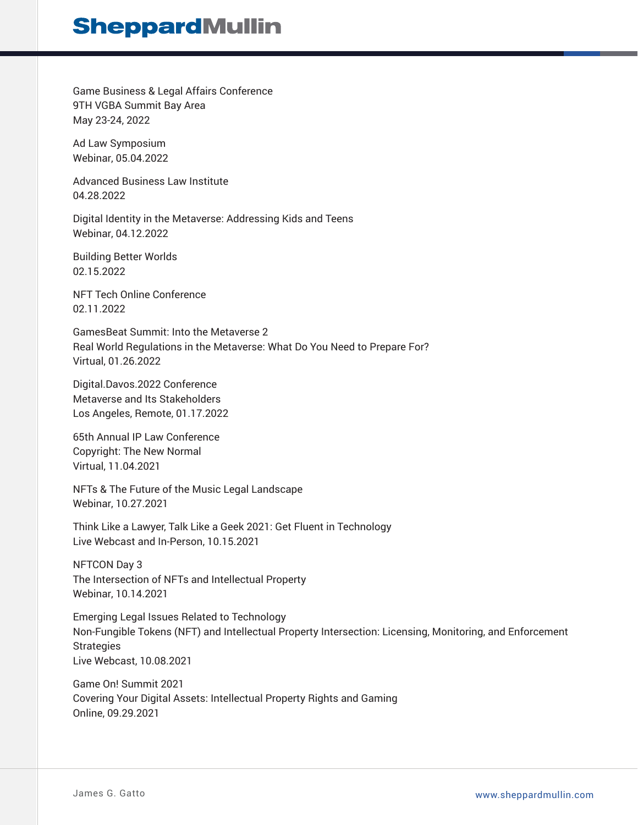Game Business & Legal Affairs Conference 9TH VGBA Summit Bay Area May 23-24, 2022

Ad Law Symposium Webinar, 05.04.2022

Advanced Business Law Institute 04.28.2022

Digital Identity in the Metaverse: Addressing Kids and Teens Webinar, 04.12.2022

Building Better Worlds 02.15.2022

NFT Tech Online Conference 02.11.2022

GamesBeat Summit: Into the Metaverse 2 Real World Regulations in the Metaverse: What Do You Need to Prepare For? Virtual, 01.26.2022

Digital.Davos.2022 Conference Metaverse and Its Stakeholders Los Angeles, Remote, 01.17.2022

65th Annual IP Law Conference Copyright: The New Normal Virtual, 11.04.2021

NFTs & The Future of the Music Legal Landscape Webinar, 10.27.2021

Think Like a Lawyer, Talk Like a Geek 2021: Get Fluent in Technology Live Webcast and In-Person, 10.15.2021

NFTCON Day 3 The Intersection of NFTs and Intellectual Property Webinar, 10.14.2021

Emerging Legal Issues Related to Technology Non-Fungible Tokens (NFT) and Intellectual Property Intersection: Licensing, Monitoring, and Enforcement **Strategies** Live Webcast, 10.08.2021

Game On! Summit 2021 Covering Your Digital Assets: Intellectual Property Rights and Gaming Online, 09.29.2021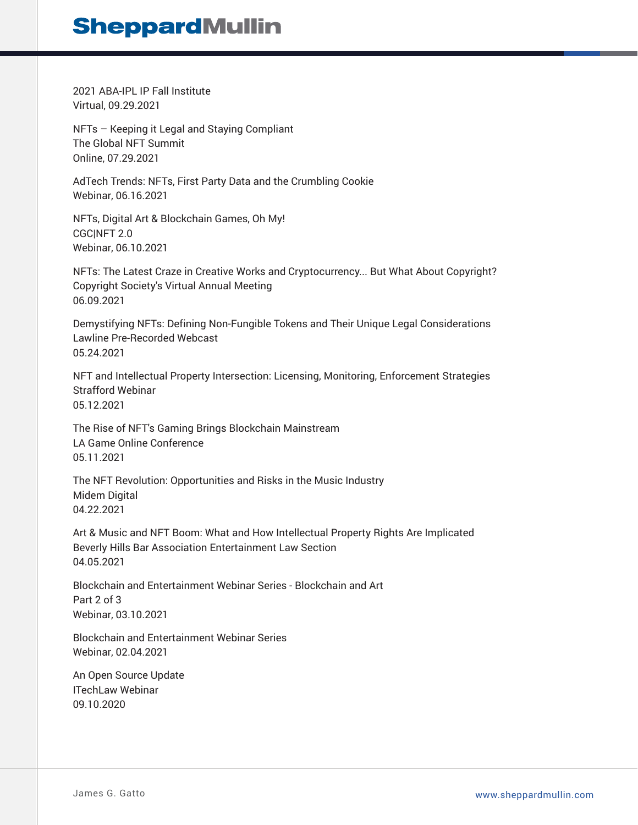2021 ABA-IPL IP Fall Institute Virtual, 09.29.2021

NFTs – Keeping it Legal and Staying Compliant The Global NFT Summit Online, 07.29.2021

AdTech Trends: NFTs, First Party Data and the Crumbling Cookie Webinar, 06.16.2021

NFTs, Digital Art & Blockchain Games, Oh My! CGC|NFT 2.0 Webinar, 06.10.2021

NFTs: The Latest Craze in Creative Works and Cryptocurrency... But What About Copyright? Copyright Society's Virtual Annual Meeting 06.09.2021

Demystifying NFTs: Defining Non-Fungible Tokens and Their Unique Legal Considerations Lawline Pre-Recorded Webcast 05.24.2021

NFT and Intellectual Property Intersection: Licensing, Monitoring, Enforcement Strategies Strafford Webinar 05.12.2021

The Rise of NFT's Gaming Brings Blockchain Mainstream LA Game Online Conference 05.11.2021

The NFT Revolution: Opportunities and Risks in the Music Industry Midem Digital 04.22.2021

Art & Music and NFT Boom: What and How Intellectual Property Rights Are Implicated Beverly Hills Bar Association Entertainment Law Section 04.05.2021

Blockchain and Entertainment Webinar Series - Blockchain and Art Part 2 of 3 Webinar, 03.10.2021

Blockchain and Entertainment Webinar Series Webinar, 02.04.2021

An Open Source Update ITechLaw Webinar 09.10.2020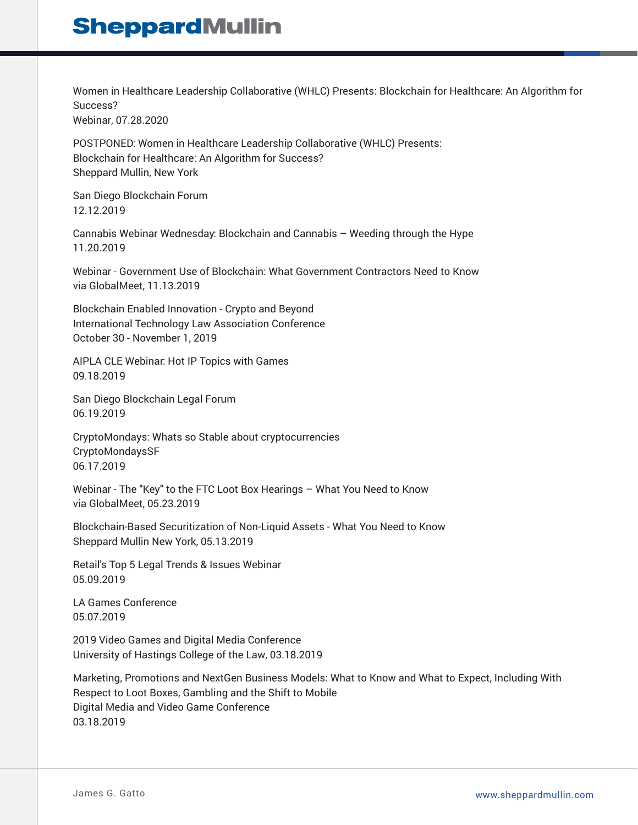Women in Healthcare Leadership Collaborative (WHLC) Presents: Blockchain for Healthcare: An Algorithm for Success? Webinar, 07.28.2020

POSTPONED: Women in Healthcare Leadership Collaborative (WHLC) Presents: Blockchain for Healthcare: An Algorithm for Success? Sheppard Mullin, New York

San Diego Blockchain Forum 12.12.2019

Cannabis Webinar Wednesday: Blockchain and Cannabis – Weeding through the Hype 11.20.2019

Webinar - Government Use of Blockchain: What Government Contractors Need to Know via GlobalMeet, 11.13.2019

Blockchain Enabled Innovation - Crypto and Beyond International Technology Law Association Conference October 30 - November 1, 2019

AIPLA CLE Webinar: Hot IP Topics with Games 09.18.2019

San Diego Blockchain Legal Forum 06.19.2019

CryptoMondays: Whats so Stable about cryptocurrencies CryptoMondaysSF 06.17.2019

Webinar - The "Key" to the FTC Loot Box Hearings – What You Need to Know via GlobalMeet, 05.23.2019

Blockchain-Based Securitization of Non-Liquid Assets - What You Need to Know Sheppard Mullin New York, 05.13.2019

Retail's Top 5 Legal Trends & Issues Webinar 05.09.2019

LA Games Conference 05.07.2019

2019 Video Games and Digital Media Conference University of Hastings College of the Law, 03.18.2019

Marketing, Promotions and NextGen Business Models: What to Know and What to Expect, Including With Respect to Loot Boxes, Gambling and the Shift to Mobile Digital Media and Video Game Conference 03.18.2019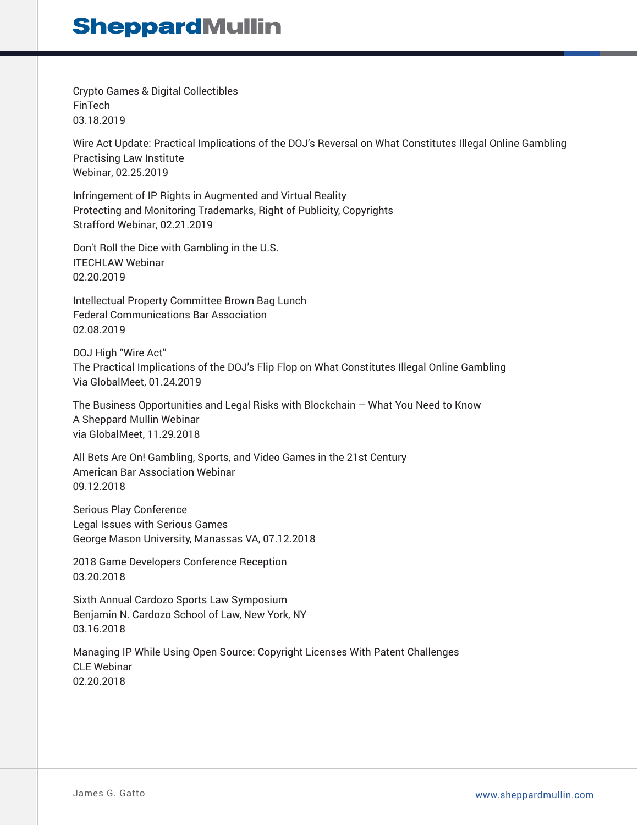Crypto Games & Digital Collectibles FinTech 03.18.2019

Wire Act Update: Practical Implications of the DOJ's Reversal on What Constitutes Illegal Online Gambling Practising Law Institute Webinar, 02.25.2019

Infringement of IP Rights in Augmented and Virtual Reality Protecting and Monitoring Trademarks, Right of Publicity, Copyrights Strafford Webinar, 02.21.2019

Don't Roll the Dice with Gambling in the U.S. ITECHLAW Webinar 02.20.2019

Intellectual Property Committee Brown Bag Lunch Federal Communications Bar Association 02.08.2019

DOJ High "Wire Act" The Practical Implications of the DOJ's Flip Flop on What Constitutes Illegal Online Gambling Via GlobalMeet, 01.24.2019

The Business Opportunities and Legal Risks with Blockchain – What You Need to Know A Sheppard Mullin Webinar via GlobalMeet, 11.29.2018

All Bets Are On! Gambling, Sports, and Video Games in the 21st Century American Bar Association Webinar 09.12.2018

Serious Play Conference Legal Issues with Serious Games George Mason University, Manassas VA, 07.12.2018

2018 Game Developers Conference Reception 03.20.2018

Sixth Annual Cardozo Sports Law Symposium Benjamin N. Cardozo School of Law, New York, NY 03.16.2018

Managing IP While Using Open Source: Copyright Licenses With Patent Challenges CLE Webinar 02.20.2018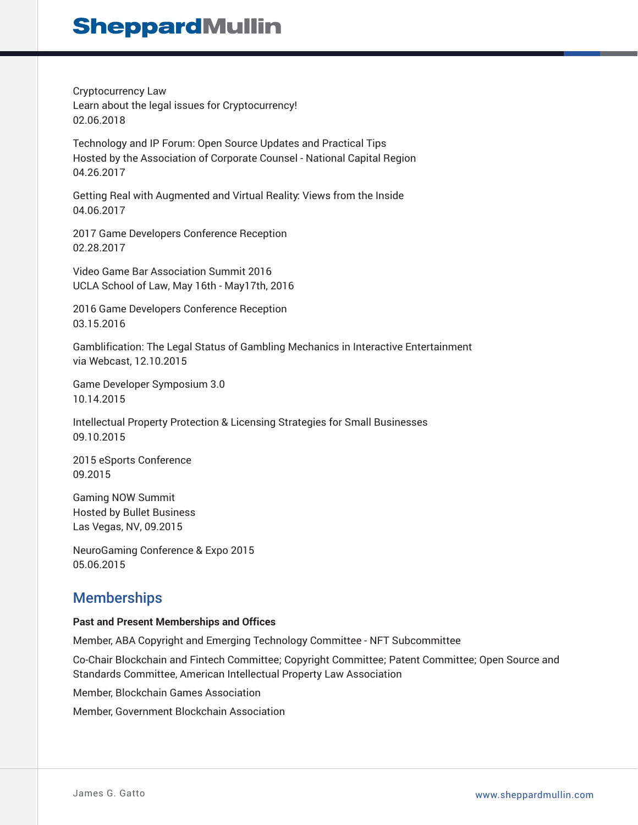Cryptocurrency Law Learn about the legal issues for Cryptocurrency! 02.06.2018

Technology and IP Forum: Open Source Updates and Practical Tips Hosted by the Association of Corporate Counsel - National Capital Region 04.26.2017

Getting Real with Augmented and Virtual Reality: Views from the Inside 04.06.2017

2017 Game Developers Conference Reception 02.28.2017

Video Game Bar Association Summit 2016 UCLA School of Law, May 16th - May17th, 2016

2016 Game Developers Conference Reception 03.15.2016

Gamblification: The Legal Status of Gambling Mechanics in Interactive Entertainment via Webcast, 12.10.2015

Game Developer Symposium 3.0 10.14.2015

Intellectual Property Protection & Licensing Strategies for Small Businesses 09.10.2015

2015 eSports Conference 09.2015

Gaming NOW Summit Hosted by Bullet Business Las Vegas, NV, 09.2015

NeuroGaming Conference & Expo 2015 05.06.2015

## **Memberships**

### **Past and Present Memberships and Offices**

Member, ABA Copyright and Emerging Technology Committee - NFT Subcommittee

Co-Chair Blockchain and Fintech Committee; Copyright Committee; Patent Committee; Open Source and Standards Committee, American Intellectual Property Law Association

Member, Blockchain Games Association

Member, Government Blockchain Association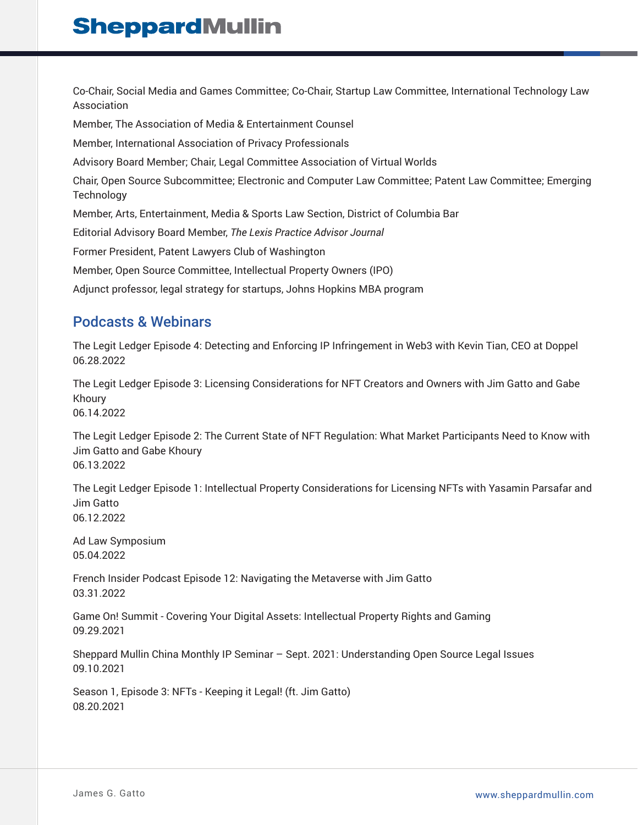Co-Chair, Social Media and Games Committee; Co-Chair, Startup Law Committee, International Technology Law Association

Member, The Association of Media & Entertainment Counsel

Member, International Association of Privacy Professionals

Advisory Board Member; Chair, Legal Committee Association of Virtual Worlds

Chair, Open Source Subcommittee; Electronic and Computer Law Committee; Patent Law Committee; Emerging **Technology** 

Member, Arts, Entertainment, Media & Sports Law Section, District of Columbia Bar

Editorial Advisory Board Member, *The Lexis Practice Advisor Journal*

Former President, Patent Lawyers Club of Washington

Member, Open Source Committee, Intellectual Property Owners (IPO)

Adjunct professor, legal strategy for startups, Johns Hopkins MBA program

### Podcasts & Webinars

The Legit Ledger Episode 4: Detecting and Enforcing IP Infringement in Web3 with Kevin Tian, CEO at Doppel 06.28.2022

The Legit Ledger Episode 3: Licensing Considerations for NFT Creators and Owners with Jim Gatto and Gabe Khoury 06.14.2022

The Legit Ledger Episode 2: The Current State of NFT Regulation: What Market Participants Need to Know with Jim Gatto and Gabe Khoury 06.13.2022

The Legit Ledger Episode 1: Intellectual Property Considerations for Licensing NFTs with Yasamin Parsafar and Jim Gatto 06.12.2022

Ad Law Symposium 05.04.2022

French Insider Podcast Episode 12: Navigating the Metaverse with Jim Gatto 03.31.2022

Game On! Summit - Covering Your Digital Assets: Intellectual Property Rights and Gaming 09.29.2021

Sheppard Mullin China Monthly IP Seminar – Sept. 2021: Understanding Open Source Legal Issues 09.10.2021

Season 1, Episode 3: NFTs - Keeping it Legal! (ft. Jim Gatto) 08.20.2021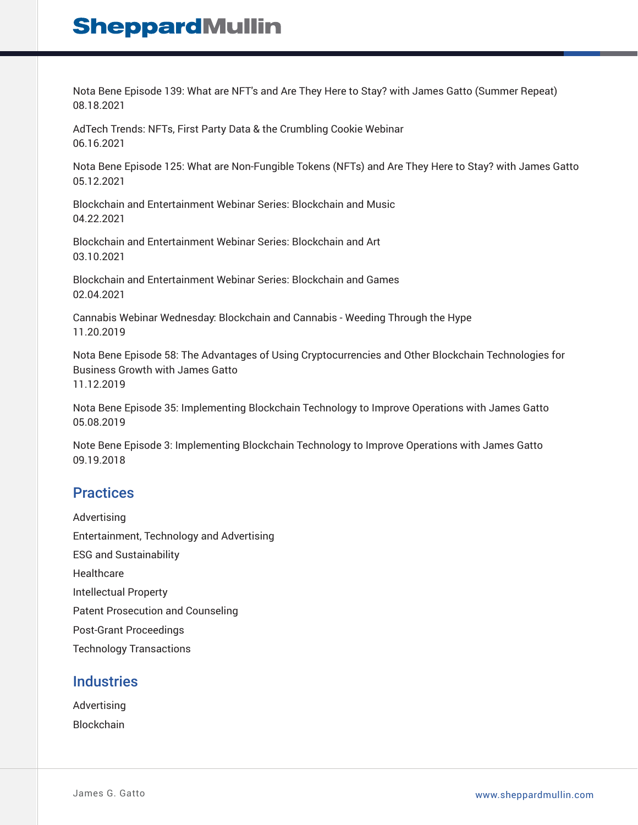Nota Bene Episode 139: What are NFT's and Are They Here to Stay? with James Gatto (Summer Repeat) 08.18.2021

AdTech Trends: NFTs, First Party Data & the Crumbling Cookie Webinar 06.16.2021

Nota Bene Episode 125: What are Non-Fungible Tokens (NFTs) and Are They Here to Stay? with James Gatto 05.12.2021

Blockchain and Entertainment Webinar Series: Blockchain and Music 04.22.2021

Blockchain and Entertainment Webinar Series: Blockchain and Art 03.10.2021

Blockchain and Entertainment Webinar Series: Blockchain and Games 02.04.2021

Cannabis Webinar Wednesday: Blockchain and Cannabis - Weeding Through the Hype 11.20.2019

Nota Bene Episode 58: The Advantages of Using Cryptocurrencies and Other Blockchain Technologies for Business Growth with James Gatto 11.12.2019

Nota Bene Episode 35: Implementing Blockchain Technology to Improve Operations with James Gatto 05.08.2019

Note Bene Episode 3: Implementing Blockchain Technology to Improve Operations with James Gatto 09.19.2018

### **Practices**

Advertising Entertainment, Technology and Advertising ESG and Sustainability Healthcare Intellectual Property Patent Prosecution and Counseling Post-Grant Proceedings Technology Transactions

### **Industries**

Advertising Blockchain